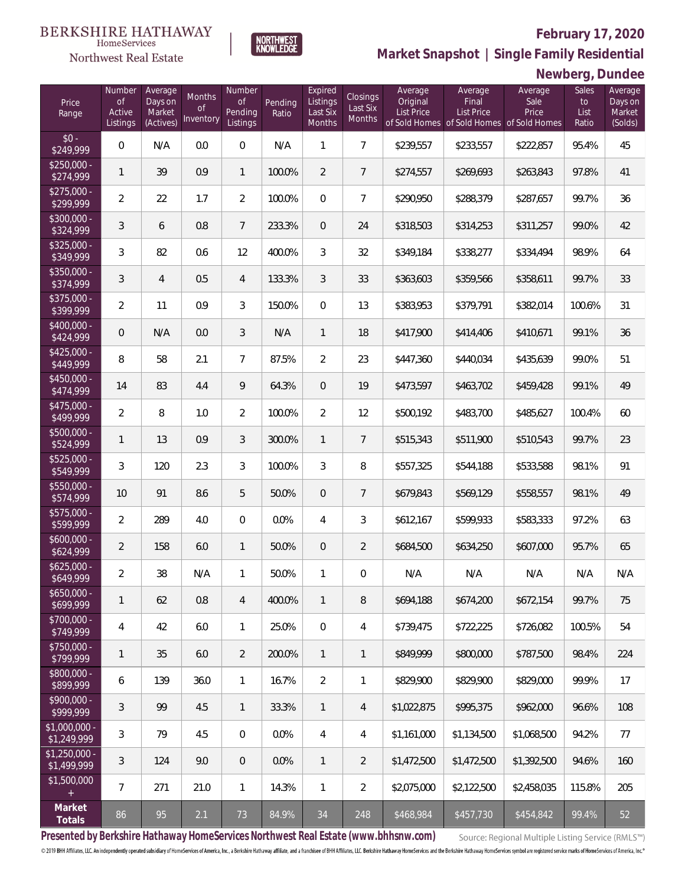#### **February 17, 2020**



**NORTHWEST**<br>KNOWLEDGE

Northwest Real Estate

**Market Snapshot | Single Family Residential**

## **Newberg, Dundee**

| Price<br>Range                | Number<br>of<br>Active<br>Listings | Average<br>Days on<br>Market<br>(Actives) | Months<br><b>of</b><br>Inventory | Number<br><b>of</b><br>Pending<br>Listings | Pending<br>Ratio | Expired<br>Listings<br>Last Six<br>Months | <b>Closings</b><br>Last Six<br>Months | Average<br>Original<br><b>List Price</b> | Average<br>Final<br>List Price | Average<br>Sale<br>Price<br>of Sold Homes of Sold Homes of Sold Homes | <b>Sales</b><br>to<br>List<br>Ratio | Average<br>Days on<br>Market<br>(Solds) |
|-------------------------------|------------------------------------|-------------------------------------------|----------------------------------|--------------------------------------------|------------------|-------------------------------------------|---------------------------------------|------------------------------------------|--------------------------------|-----------------------------------------------------------------------|-------------------------------------|-----------------------------------------|
| $$0 -$<br>\$249,999           | $\overline{0}$                     | N/A                                       | 0.0                              | $\overline{0}$                             | N/A              | $\mathbf{1}$                              | $\overline{7}$                        | \$239,557                                | \$233,557                      | \$222,857                                                             | 95.4%                               | 45                                      |
| $$250,000 -$<br>\$274,999     | 1                                  | 39                                        | 0.9                              | $\mathbf{1}$                               | 100.0%           | $\overline{2}$                            | $\overline{7}$                        | \$274,557                                | \$269,693                      | \$263,843                                                             | 97.8%                               | 41                                      |
| $$275,000 -$<br>\$299,999     | $\overline{a}$                     | 22                                        | 1.7                              | $\overline{2}$                             | 100.0%           | $\overline{0}$                            | $\overline{7}$                        | \$290,950                                | \$288,379                      | \$287,657                                                             | 99.7%                               | 36                                      |
| $$300,000 -$<br>\$324,999     | 3                                  | 6                                         | 0.8                              | $\overline{7}$                             | 233.3%           | $\overline{0}$                            | 24                                    | \$318,503                                | \$314,253                      | \$311,257                                                             | 99.0%                               | 42                                      |
| $$325,000 -$<br>\$349,999     | 3                                  | 82                                        | 0.6                              | 12                                         | 400.0%           | 3                                         | 32                                    | \$349,184                                | \$338,277                      | \$334,494                                                             | 98.9%                               | 64                                      |
| $$350,000 -$<br>\$374,999     | 3                                  | $\overline{4}$                            | 0.5                              | $\overline{4}$                             | 133.3%           | $\mathfrak{Z}$                            | 33                                    | \$363,603                                | \$359,566                      | \$358,611                                                             | 99.7%                               | 33                                      |
| $$375,000 -$<br>\$399,999     | $\overline{2}$                     | 11                                        | 0.9                              | 3                                          | 150.0%           | $\mathbf 0$                               | 13                                    | \$383,953                                | \$379,791                      | \$382,014                                                             | 100.6%                              | 31                                      |
| $$400,000 -$<br>\$424,999     | 0                                  | N/A                                       | 0.0                              | $\mathfrak{Z}$                             | N/A              | $\mathbf{1}$                              | 18                                    | \$417,900                                | \$414,406                      | \$410,671                                                             | 99.1%                               | 36                                      |
| $$425,000 -$<br>\$449,999     | 8                                  | 58                                        | 2.1                              | $\overline{7}$                             | 87.5%            | $\overline{2}$                            | 23                                    | \$447,360                                | \$440,034                      | \$435,639                                                             | 99.0%                               | 51                                      |
| $$450,000 -$<br>\$474,999     | 14                                 | 83                                        | 4.4                              | $\mathcal{G}$                              | 64.3%            | $\overline{0}$                            | 19                                    | \$473,597                                | \$463,702                      | \$459,428                                                             | 99.1%                               | 49                                      |
| $$475,000 -$<br>\$499,999     | $\overline{2}$                     | 8                                         | 1.0                              | 2                                          | 100.0%           | $\overline{2}$                            | 12                                    | \$500,192                                | \$483,700                      | \$485,627                                                             | 100.4%                              | 60                                      |
| $$500,000 -$<br>\$524,999     | $\mathbf{1}$                       | 13                                        | 0.9                              | 3                                          | 300.0%           | $\mathbf{1}$                              | $7\overline{ }$                       | \$515,343                                | \$511,900                      | \$510,543                                                             | 99.7%                               | 23                                      |
| $$525,000 -$<br>\$549,999     | 3                                  | 120                                       | 2.3                              | 3                                          | 100.0%           | 3                                         | 8                                     | \$557,325                                | \$544,188                      | \$533,588                                                             | 98.1%                               | 91                                      |
| $$550,000 -$<br>\$574,999     | 10                                 | 91                                        | 8.6                              | 5                                          | 50.0%            | $\overline{0}$                            | $7\overline{ }$                       | \$679,843                                | \$569,129                      | \$558,557                                                             | 98.1%                               | 49                                      |
| $$575,000 -$<br>\$599,999     | $\overline{2}$                     | 289                                       | 4.0                              | $\overline{0}$                             | 0.0%             | $\overline{4}$                            | 3                                     | \$612,167                                | \$599,933                      | \$583,333                                                             | 97.2%                               | 63                                      |
| $$600,000 -$<br>\$624,999     | $\overline{2}$                     | 158                                       | 6.0                              | $\mathbf{1}$                               | 50.0%            | $\overline{0}$                            | $\overline{2}$                        | \$684,500                                | \$634,250                      | \$607,000                                                             | 95.7%                               | 65                                      |
| $$625,000 -$<br>\$649,999     | $\overline{2}$                     | 38                                        | N/A                              | $\mathbf{1}$                               | 50.0%            | $\mathbf{1}$                              | $\overline{0}$                        | N/A                                      | N/A                            | N/A                                                                   | N/A                                 | N/A                                     |
| $$650,000 -$<br>\$699,999     | 1                                  | 62                                        | 0.8                              | 4                                          | 400.0%           | $\mathbf{1}$                              | 8                                     | \$694,188                                | \$674,200                      | \$672,154                                                             | 99.7%                               | 75                                      |
| $$700,000 -$<br>\$749,999     | 4                                  | 42                                        | 6.0                              | $\mathbf{1}$                               | 25.0%            | $\mathbf 0$                               | $\overline{4}$                        | \$739,475                                | \$722,225                      | \$726,082                                                             | 100.5%                              | 54                                      |
| $$750,000 -$<br>\$799,999     | 1                                  | 35                                        | 6.0                              | $\overline{2}$                             | 200.0%           | $\mathbf{1}$                              | $\mathbf{1}$                          | \$849,999                                | \$800,000                      | \$787,500                                                             | 98.4%                               | 224                                     |
| $$800,000 -$<br>\$899,999     | 6                                  | 139                                       | 36.0                             | $\mathbf{1}$                               | 16.7%            | $\overline{2}$                            | 1                                     | \$829,900                                | \$829,900                      | \$829,000                                                             | 99.9%                               | 17                                      |
| $$900,000 -$<br>\$999,999     | 3                                  | 99                                        | 4.5                              | $\overline{1}$                             | 33.3%            | $\mathbf{1}$                              | $\overline{4}$                        | \$1,022,875                              | \$995,375                      | \$962,000                                                             | 96.6%                               | 108                                     |
| \$1,000,000 -<br>\$1,249,999  | 3                                  | 79                                        | 4.5                              | $\mathbf 0$                                | 0.0%             | $\overline{4}$                            | $\overline{4}$                        | \$1,161,000                              | \$1,134,500                    | \$1,068,500                                                           | 94.2%                               | 77                                      |
| $$1,250,000$ -<br>\$1,499,999 | 3                                  | 124                                       | 9.0                              | $\overline{0}$                             | 0.0%             | $\mathbf{1}$                              | $\overline{2}$                        | \$1,472,500                              | \$1,472,500                    | \$1,392,500                                                           | 94.6%                               | 160                                     |
| \$1,500,000<br>$^{+}$         | $\overline{7}$                     | 271                                       | 21.0                             | $\mathbf{1}$                               | 14.3%            | $\mathbf{1}$                              | $\overline{2}$                        | \$2,075,000                              | \$2,122,500                    | \$2,458,035                                                           | 115.8%                              | 205                                     |
| Market<br>Totals              | 86                                 | 95                                        | 2.1                              | 73                                         | 84.9%            | 34                                        | 248                                   | \$468,984                                | \$457,730                      | \$454,842                                                             | 99.4%                               | 52                                      |

**Presented by Berkshire Hathaway HomeServices Northwest Real Estate (www.bhhsnw.com)**

Source: Regional Multiple Listing Service (RMLS™)

© 2019 BHH Affiliates, LLC. An independently operated subsidiary of HomeServices of America, Inc., a Berkshire Hathaway affiliate, and a franchisee of BHH Affiliates, LLC. Berkshire Hathaway HomeServices and the Berkshire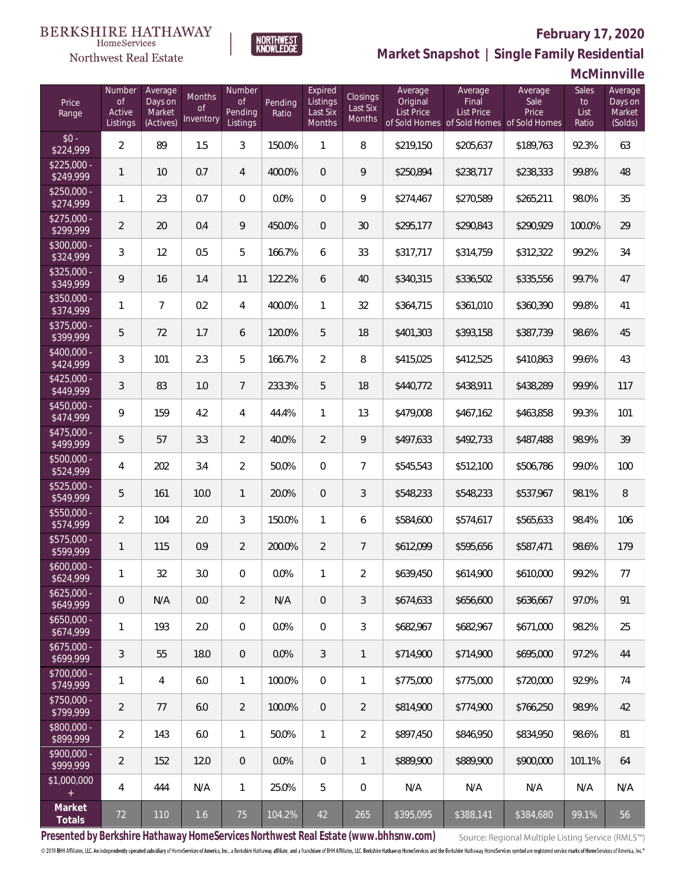# **February 17, 2020**



**NORTHWEST**<br>KNOWLEDGE

**Market Snapshot | Single Family Residential**

### **McMinnville**

| Price<br>Range            | Number<br><b>of</b><br>Active<br>Listings | Average<br>Days on<br>Market<br>(Actives) | Months<br>Οf<br>Inventory | Number<br>of<br>Pending<br>Listings | Pending<br>Ratio | Expired<br>Listings<br>Last Six<br>Months | Closings<br>Last Six<br>Months | Average<br>Original<br><b>List Price</b> | Average<br>Final<br><b>List Price</b> | Average<br>Sale<br>Price<br>of Sold Homes of Sold Homes of Sold Homes | Sales<br>to<br>List<br>Ratio | Average<br>Days on<br>Market<br>(Solds) |
|---------------------------|-------------------------------------------|-------------------------------------------|---------------------------|-------------------------------------|------------------|-------------------------------------------|--------------------------------|------------------------------------------|---------------------------------------|-----------------------------------------------------------------------|------------------------------|-----------------------------------------|
| $$0 -$<br>\$224,999       | $\overline{2}$                            | 89                                        | 1.5                       | 3                                   | 150.0%           | $\mathbf{1}$                              | 8                              | \$219,150                                | \$205,637                             | \$189,763                                                             | 92.3%                        | 63                                      |
| $$225,000 -$<br>\$249,999 | $\mathbf{1}$                              | 10                                        | 0.7                       | 4                                   | 400.0%           | $\overline{0}$                            | 9                              | \$250,894                                | \$238,717                             | \$238,333                                                             | 99.8%                        | 48                                      |
| $$250,000 -$<br>\$274,999 | $\mathbf{1}$                              | 23                                        | 0.7                       | $\overline{0}$                      | 0.0%             | $\overline{0}$                            | 9                              | \$274,467                                | \$270,589                             | \$265,211                                                             | 98.0%                        | 35                                      |
| $$275,000 -$<br>\$299,999 | $\overline{2}$                            | 20                                        | 0.4                       | 9                                   | 450.0%           | $\overline{0}$                            | 30                             | \$295,177                                | \$290,843                             | \$290,929                                                             | 100.0%                       | 29                                      |
| $$300,000 -$<br>\$324,999 | $\mathfrak{Z}$                            | 12                                        | 0.5                       | 5                                   | 166.7%           | 6                                         | 33                             | \$317,717                                | \$314,759                             | \$312,322                                                             | 99.2%                        | 34                                      |
| $$325,000 -$<br>\$349,999 | 9                                         | 16                                        | 1.4                       | 11                                  | 122.2%           | 6                                         | 40                             | \$340,315                                | \$336,502                             | \$335,556                                                             | 99.7%                        | 47                                      |
| $$350,000 -$<br>\$374,999 | $\mathbf{1}$                              | $\overline{7}$                            | 0.2                       | 4                                   | 400.0%           | $\mathbf{1}$                              | 32                             | \$364,715                                | \$361,010                             | \$360,390                                                             | 99.8%                        | 41                                      |
| $$375,000 -$<br>\$399,999 | 5                                         | 72                                        | 1.7                       | 6                                   | 120.0%           | 5                                         | 18                             | \$401,303                                | \$393,158                             | \$387,739                                                             | 98.6%                        | 45                                      |
| $$400,000 -$<br>\$424,999 | $\mathfrak{Z}$                            | 101                                       | 2.3                       | 5                                   | 166.7%           | $\overline{2}$                            | 8                              | \$415,025                                | \$412,525                             | \$410,863                                                             | 99.6%                        | 43                                      |
| $$425,000 -$<br>\$449,999 | 3                                         | 83                                        | 1.0                       | $\overline{7}$                      | 233.3%           | 5                                         | 18                             | \$440,772                                | \$438,911                             | \$438,289                                                             | 99.9%                        | 117                                     |
| $$450,000 -$<br>\$474,999 | 9                                         | 159                                       | 4.2                       | $\overline{4}$                      | 44.4%            | $\mathbf{1}$                              | 13                             | \$479,008                                | \$467,162                             | \$463,858                                                             | 99.3%                        | 101                                     |
| $$475,000 -$<br>\$499,999 | 5                                         | 57                                        | 3.3                       | $\overline{2}$                      | 40.0%            | $\overline{2}$                            | 9                              | \$497,633                                | \$492,733                             | \$487,488                                                             | 98.9%                        | 39                                      |
| $$500,000 -$<br>\$524,999 | 4                                         | 202                                       | 3.4                       | $\overline{2}$                      | 50.0%            | $\mathbf 0$                               | $\overline{7}$                 | \$545,543                                | \$512,100                             | \$506,786                                                             | 99.0%                        | 100                                     |
| \$525,000 -<br>\$549,999  | 5                                         | 161                                       | 10.0                      | $\mathbf{1}$                        | 20.0%            | $\mathbf{0}$                              | $\mathfrak{Z}$                 | \$548,233                                | \$548,233                             | \$537,967                                                             | 98.1%                        | $\, 8$                                  |
| $$550,000 -$<br>\$574,999 | $\overline{2}$                            | 104                                       | 2.0                       | 3                                   | 150.0%           | $\mathbf{1}$                              | 6                              | \$584,600                                | \$574,617                             | \$565,633                                                             | 98.4%                        | 106                                     |
| $$575,000 -$<br>\$599,999 | $\mathbf{1}$                              | 115                                       | 0.9                       | $\overline{2}$                      | 200.0%           | $\overline{2}$                            | $\overline{7}$                 | \$612,099                                | \$595,656                             | \$587,471                                                             | 98.6%                        | 179                                     |
| $$600,000 -$<br>\$624,999 | $\mathbf{1}$                              | 32                                        | 3.0                       | $\overline{0}$                      | 0.0%             | $\mathbf{1}$                              | $\overline{2}$                 | \$639,450                                | \$614,900                             | \$610,000                                                             | 99.2%                        | 77                                      |
| $$625,000 -$<br>\$649,999 | $\boldsymbol{0}$                          | N/A                                       | 0.0                       | $\overline{2}$                      | N/A              | $\,0\,$                                   | $\mathfrak{Z}$                 | \$674,633                                | \$656,600                             | \$636,667                                                             | 97.0%                        | 91                                      |
| $$650,000 -$<br>\$674,999 | $\mathbf{1}$                              | 193                                       | 2.0                       | $\boldsymbol{0}$                    | 0.0%             | $\mathbf 0$                               | $\mathfrak{Z}$                 | \$682,967                                | \$682,967                             | \$671,000                                                             | 98.2%                        | 25                                      |
| $$675,000 -$<br>\$699,999 | $\sqrt{3}$                                | 55                                        | 18.0                      | $\overline{0}$                      | 0.0%             | $\mathfrak{Z}$                            | $\mathbf{1}$                   | \$714,900                                | \$714,900                             | \$695,000                                                             | 97.2%                        | 44                                      |
| \$700,000 -<br>\$749,999  | 1                                         | 4                                         | 6.0                       | $\mathbf{1}$                        | 100.0%           | $\mathbf 0$                               | 1                              | \$775,000                                | \$775,000                             | \$720,000                                                             | 92.9%                        | 74                                      |
| \$750,000 -<br>\$799,999  | $\overline{2}$                            | 77                                        | 6.0                       | $\overline{2}$                      | 100.0%           | $\mathbf{0}$                              | $\overline{2}$                 | \$814,900                                | \$774,900                             | \$766,250                                                             | 98.9%                        | 42                                      |
| \$800,000 -<br>\$899,999  | $\overline{2}$                            | 143                                       | 6.0                       | $\mathbf{1}$                        | 50.0%            | $\mathbf{1}$                              | $\overline{2}$                 | \$897,450                                | \$846,950                             | \$834,950                                                             | 98.6%                        | 81                                      |
| \$900,000 -<br>\$999,999  | $\overline{2}$                            | 152                                       | 12.0                      | $\overline{0}$                      | 0.0%             | $\mathbf{0}$                              | $\mathbf{1}$                   | \$889,900                                | \$889,900                             | \$900,000                                                             | 101.1%                       | 64                                      |
| \$1,000,000<br>$+$        | 4                                         | 444                                       | N/A                       | $\mathbf{1}$                        | 25.0%            | 5                                         | $\mathbf 0$                    | N/A                                      | N/A                                   | N/A                                                                   | N/A                          | N/A                                     |
| Market<br>Totals          | 72                                        | 110                                       | 1.6                       | 75                                  | 104.2%           | 42                                        | 265                            | \$395,095                                | \$388,141                             | \$384,680                                                             | 99.1%                        | 56                                      |

**Presented by Berkshire Hathaway HomeServices Northwest Real Estate (www.bhhsnw.com)**

Source: Regional Multiple Listing Service (RMLS™)

© 2019 BHH Affiliates, LLC. An independently operated subsidiary of HomeServices of America, Inc., a Berkshire Hathaway affiliate, and a franchisee of BHH Affiliates, LLC. Berkshire Hathaway HomeServices and the Berkshire